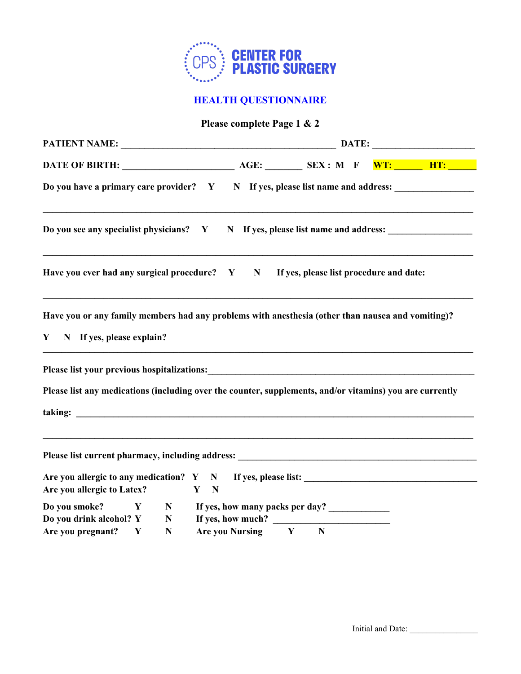

## **HEALTH QUESTIONNAIRE**

## **Please complete Page 1 & 2**

| Do you have a primary care provider? Y N If yes, please list name and address:                                                                 |                                                        |             |  |  |  |  |  |
|------------------------------------------------------------------------------------------------------------------------------------------------|--------------------------------------------------------|-------------|--|--|--|--|--|
| Do you see any specialist physicians? Y N If yes, please list name and address:                                                                |                                                        |             |  |  |  |  |  |
| Have you ever had any surgical procedure? Y N If yes, please list procedure and date:                                                          |                                                        |             |  |  |  |  |  |
| Have you or any family members had any problems with anesthesia (other than nausea and vomiting)?<br>$\mathbf{Y}$<br>N If yes, please explain? |                                                        |             |  |  |  |  |  |
|                                                                                                                                                |                                                        |             |  |  |  |  |  |
| Please list any medications (including over the counter, supplements, and/or vitamins) you are currently                                       |                                                        |             |  |  |  |  |  |
|                                                                                                                                                |                                                        |             |  |  |  |  |  |
| <u> 1989 - Johann Stoff, amerikansk politiker (d. 1989)</u>                                                                                    |                                                        |             |  |  |  |  |  |
| Are you allergic to Latex?                                                                                                                     | Y N                                                    |             |  |  |  |  |  |
| Do you smoke?<br>$\mathbf{Y}$                                                                                                                  | N If yes, how many packs per day?                      |             |  |  |  |  |  |
| Do you drink alcohol? Y<br>$\mathbf N$<br>${\bf N}$                                                                                            | If yes, how much? $\qquad \qquad$<br>Are you Nursing Y | $\mathbf N$ |  |  |  |  |  |
| Are you pregnant? Y                                                                                                                            |                                                        |             |  |  |  |  |  |

Initial and Date: \_\_\_\_\_\_\_\_\_\_\_\_\_\_\_\_